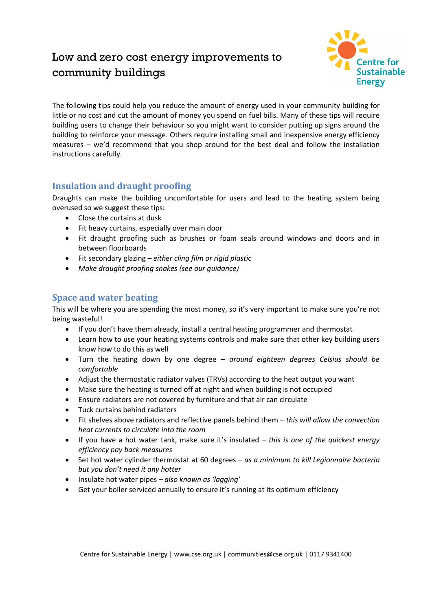# Low and zero cost energy improvements to community buildings



The following tips could help you reduce the amount of energy used in your community building for little or no cost and cut the amount of money you spend on fuel bills. Many of these tips will require building users to change their behaviour so you might want to consider putting up signs around the building to reinforce your message. Others require installing small and inexpensive energy efficiency measures – we'd recommend that you shop around for the best deal and follow the installation instructions carefully.

# **Insulation and draught proofing**

Draughts can make the building uncomfortable for users and lead to the heating system being overused so we suggest these tips:

- Close the curtains at dusk
- Fit heavy curtains, especially over main door
- Fit draught proofing such as brushes or foam seals around windows and doors and in between floorboards
- Fit secondary glazing *– either cling film or rigid plastic*
- *Make draught proofing snakes (see our guidance)*

## **Space and water heating**

This will be where you are spending the most money, so it's very important to make sure you're not being wasteful!

- If you don't have them already, install a central heating programmer and thermostat
- Learn how to use your heating systems controls and make sure that other key building users know how to do this as well
- Turn the heating down by one degree *around eighteen degrees Celsius should be comfortable*
- Adjust the thermostatic radiator valves (TRVs) according to the heat output you want
- Make sure the heating is turned off at night and when building is not occupied
- Ensure radiators are not covered by furniture and that air can circulate
- Tuck curtains behind radiators
- Fit shelves above radiators and reflective panels behind them *– this will allow the convection heat currents to circulate into the room*
- If you have a hot water tank, make sure it's insulated *– this is one of the quickest energy efficiency pay back measures*
- Set hot water cylinder thermostat at 60 degrees *– as a minimum to kill Legionnaire bacteria but you don't need it any hotter*
- Insulate hot water pipes *also known as 'lagging'*
- Get your boiler serviced annually to ensure it's running at its optimum efficiency